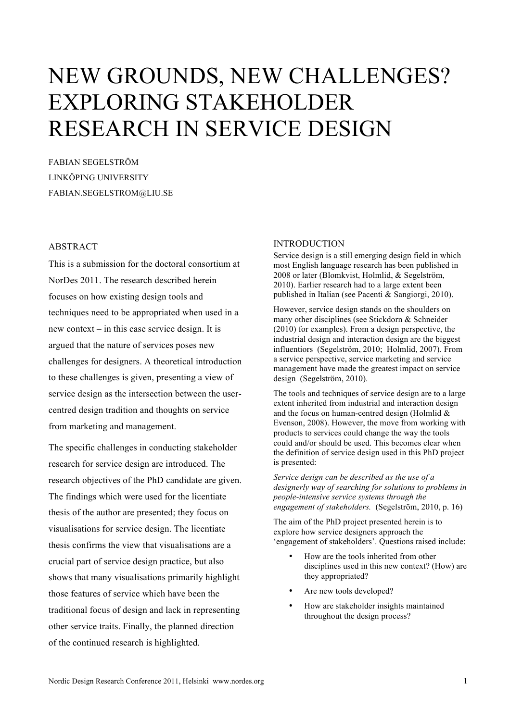# NEW GROUNDS, NEW CHALLENGES? EXPLORING STAKEHOLDER RESEARCH IN SERVICE DESIGN

FABIAN SEGELSTRÖM LINKÖPING UNIVERSITY FABIAN.SEGELSTROM@LIU.SE

## ABSTRACT

This is a submission for the doctoral consortium at NorDes 2011. The research described herein focuses on how existing design tools and techniques need to be appropriated when used in a new context – in this case service design. It is argued that the nature of services poses new challenges for designers. A theoretical introduction to these challenges is given, presenting a view of service design as the intersection between the usercentred design tradition and thoughts on service from marketing and management.

The specific challenges in conducting stakeholder research for service design are introduced. The research objectives of the PhD candidate are given. The findings which were used for the licentiate thesis of the author are presented; they focus on visualisations for service design. The licentiate thesis confirms the view that visualisations are a crucial part of service design practice, but also shows that many visualisations primarily highlight those features of service which have been the traditional focus of design and lack in representing other service traits. Finally, the planned direction of the continued research is highlighted.

## **INTRODUCTION**

Service design is a still emerging design field in which most English language research has been published in 2008 or later (Blomkvist, Holmlid, & Segelström, 2010). Earlier research had to a large extent been published in Italian (see Pacenti & Sangiorgi, 2010).

However, service design stands on the shoulders on many other disciplines (see Stickdorn & Schneider (2010) for examples). From a design perspective, the industrial design and interaction design are the biggest influentiors (Segelström, 2010; Holmlid, 2007). From a service perspective, service marketing and service management have made the greatest impact on service design (Segelström, 2010).

The tools and techniques of service design are to a large extent inherited from industrial and interaction design and the focus on human-centred design (Holmlid & Evenson, 2008). However, the move from working with products to services could change the way the tools could and/or should be used. This becomes clear when the definition of service design used in this PhD project is presented:

*Service design can be described as the use of a designerly way of searching for solutions to problems in people-intensive service systems through the engagement of stakeholders.* (Segelström, 2010, p. 16)

The aim of the PhD project presented herein is to explore how service designers approach the 'engagement of stakeholders'. Questions raised include:

- How are the tools inherited from other disciplines used in this new context? (How) are they appropriated?
- Are new tools developed?
- How are stakeholder insights maintained throughout the design process?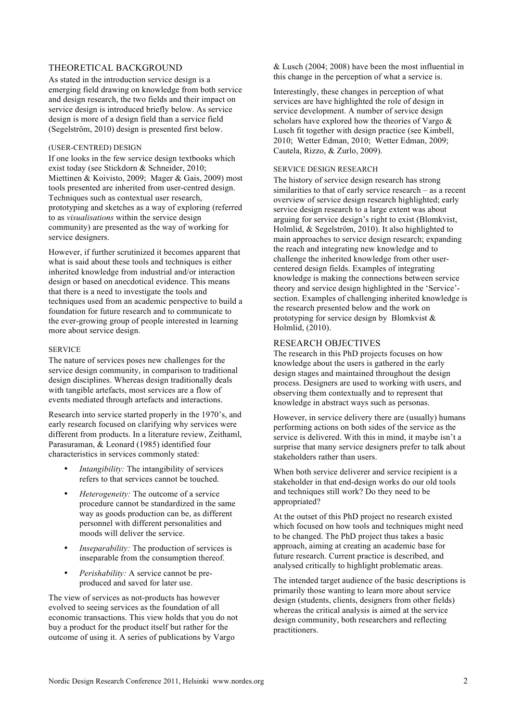# THEORETICAL BACKGROUND

As stated in the introduction service design is a emerging field drawing on knowledge from both service and design research, the two fields and their impact on service design is introduced briefly below. As service design is more of a design field than a service field (Segelström, 2010) design is presented first below.

### (USER-CENTRED) DESIGN

If one looks in the few service design textbooks which exist today (see Stickdorn & Schneider, 2010; Miettinen & Koivisto, 2009; Mager & Gais, 2009) most tools presented are inherited from user-centred design. Techniques such as contextual user research, prototyping and sketches as a way of exploring (referred to as *visualisations* within the service design community) are presented as the way of working for service designers.

However, if further scrutinized it becomes apparent that what is said about these tools and techniques is either inherited knowledge from industrial and/or interaction design or based on anecdotical evidence. This means that there is a need to investigate the tools and techniques used from an academic perspective to build a foundation for future research and to communicate to the ever-growing group of people interested in learning more about service design.

#### **SERVICE**

The nature of services poses new challenges for the service design community, in comparison to traditional design disciplines. Whereas design traditionally deals with tangible artefacts, most services are a flow of events mediated through artefacts and interactions.

Research into service started properly in the 1970's, and early research focused on clarifying why services were different from products. In a literature review, Zeithaml, Parasuraman, & Leonard (1985) identified four characteristics in services commonly stated:

- *Intangibility:* The intangibility of services refers to that services cannot be touched.
- *Heterogeneity:* The outcome of a service procedure cannot be standardized in the same way as goods production can be, as different personnel with different personalities and moods will deliver the service.
- *Inseparability:* The production of services is inseparable from the consumption thereof.
- *Perishability:* A service cannot be preproduced and saved for later use.

The view of services as not-products has however evolved to seeing services as the foundation of all economic transactions. This view holds that you do not buy a product for the product itself but rather for the outcome of using it. A series of publications by Vargo

& Lusch (2004; 2008) have been the most influential in this change in the perception of what a service is.

Interestingly, these changes in perception of what services are have highlighted the role of design in service development. A number of service design scholars have explored how the theories of Vargo  $\&$ Lusch fit together with design practice (see Kimbell, 2010; Wetter Edman, 2010; Wetter Edman, 2009; Cautela, Rizzo, & Zurlo, 2009).

## SERVICE DESIGN RESEARCH

The history of service design research has strong similarities to that of early service research – as a recent overview of service design research highlighted; early service design research to a large extent was about arguing for service design's right to exist (Blomkvist, Holmlid, & Segelström, 2010). It also highlighted to main approaches to service design research; expanding the reach and integrating new knowledge and to challenge the inherited knowledge from other usercentered design fields. Examples of integrating knowledge is making the connections between service theory and service design highlighted in the 'Service' section. Examples of challenging inherited knowledge is the research presented below and the work on prototyping for service design by Blomkvist & Holmlid, (2010).

## RESEARCH OBJECTIVES

The research in this PhD projects focuses on how knowledge about the users is gathered in the early design stages and maintained throughout the design process. Designers are used to working with users, and observing them contextually and to represent that knowledge in abstract ways such as personas.

However, in service delivery there are (usually) humans performing actions on both sides of the service as the service is delivered. With this in mind, it maybe isn't a surprise that many service designers prefer to talk about stakeholders rather than users.

When both service deliverer and service recipient is a stakeholder in that end-design works do our old tools and techniques still work? Do they need to be appropriated?

At the outset of this PhD project no research existed which focused on how tools and techniques might need to be changed. The PhD project thus takes a basic approach, aiming at creating an academic base for future research. Current practice is described, and analysed critically to highlight problematic areas.

The intended target audience of the basic descriptions is primarily those wanting to learn more about service design (students, clients, designers from other fields) whereas the critical analysis is aimed at the service design community, both researchers and reflecting practitioners.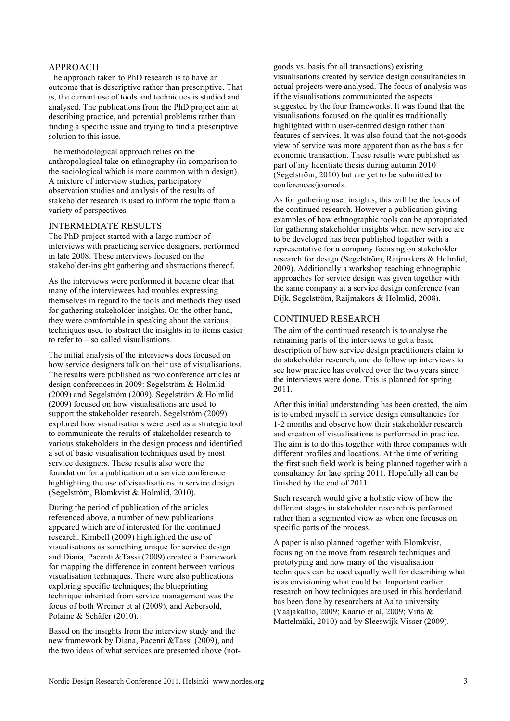# APPROACH

The approach taken to PhD research is to have an outcome that is descriptive rather than prescriptive. That is, the current use of tools and techniques is studied and analysed. The publications from the PhD project aim at describing practice, and potential problems rather than finding a specific issue and trying to find a prescriptive solution to this issue.

The methodological approach relies on the anthropological take on ethnography (in comparison to the sociological which is more common within design). A mixture of interview studies, participatory observation studies and analysis of the results of stakeholder research is used to inform the topic from a variety of perspectives.

#### INTERMEDIATE RESULTS

The PhD project started with a large number of interviews with practicing service designers, performed in late 2008. These interviews focused on the stakeholder-insight gathering and abstractions thereof.

As the interviews were performed it became clear that many of the interviewees had troubles expressing themselves in regard to the tools and methods they used for gathering stakeholder-insights. On the other hand, they were comfortable in speaking about the various techniques used to abstract the insights in to items easier to refer to – so called visualisations.

The initial analysis of the interviews does focused on how service designers talk on their use of visualisations. The results were published as two conference articles at design conferences in 2009: Segelström & Holmlid (2009) and Segelström (2009). Segelström & Holmlid (2009) focused on how visualisations are used to support the stakeholder research. Segelström (2009) explored how visualisations were used as a strategic tool to communicate the results of stakeholder research to various stakeholders in the design process and identified a set of basic visualisation techniques used by most service designers. These results also were the foundation for a publication at a service conference highlighting the use of visualisations in service design (Segelström, Blomkvist & Holmlid, 2010).

During the period of publication of the articles referenced above, a number of new publications appeared which are of interested for the continued research. Kimbell (2009) highlighted the use of visualisations as something unique for service design and Diana, Pacenti &Tassi (2009) created a framework for mapping the difference in content between various visualisation techniques. There were also publications exploring specific techniques; the blueprinting technique inherited from service management was the focus of both Wreiner et al (2009), and Aebersold, Polaine & Schäfer (2010).

Based on the insights from the interview study and the new framework by Diana, Pacenti &Tassi (2009), and the two ideas of what services are presented above (not-

goods vs. basis for all transactions) existing visualisations created by service design consultancies in actual projects were analysed. The focus of analysis was if the visualisations communicated the aspects suggested by the four frameworks. It was found that the visualisations focused on the qualities traditionally highlighted within user-centred design rather than features of services. It was also found that the not-goods view of service was more apparent than as the basis for economic transaction. These results were published as part of my licentiate thesis during autumn 2010 (Segelström, 2010) but are yet to be submitted to conferences/journals.

As for gathering user insights, this will be the focus of the continued research. However a publication giving examples of how ethnographic tools can be appropriated for gathering stakeholder insights when new service are to be developed has been published together with a representative for a company focusing on stakeholder research for design (Segelström, Raijmakers & Holmlid, 2009). Additionally a workshop teaching ethnographic approaches for service design was given together with the same company at a service design conference (van Dijk, Segelström, Raijmakers & Holmlid, 2008).

#### CONTINUED RESEARCH

The aim of the continued research is to analyse the remaining parts of the interviews to get a basic description of how service design practitioners claim to do stakeholder research, and do follow up interviews to see how practice has evolved over the two years since the interviews were done. This is planned for spring 2011.

After this initial understanding has been created, the aim is to embed myself in service design consultancies for 1-2 months and observe how their stakeholder research and creation of visualisations is performed in practice. The aim is to do this together with three companies with different profiles and locations. At the time of writing the first such field work is being planned together with a consultancy for late spring 2011. Hopefully all can be finished by the end of 2011.

Such research would give a holistic view of how the different stages in stakeholder research is performed rather than a segmented view as when one focuses on specific parts of the process.

A paper is also planned together with Blomkvist, focusing on the move from research techniques and prototyping and how many of the visualisation techniques can be used equally well for describing what is as envisioning what could be. Important earlier research on how techniques are used in this borderland has been done by researchers at Aalto university (Vaajakallio, 2009; Kaario et al, 2009; Viña & Mattelmäki, 2010) and by Sleeswijk Visser (2009).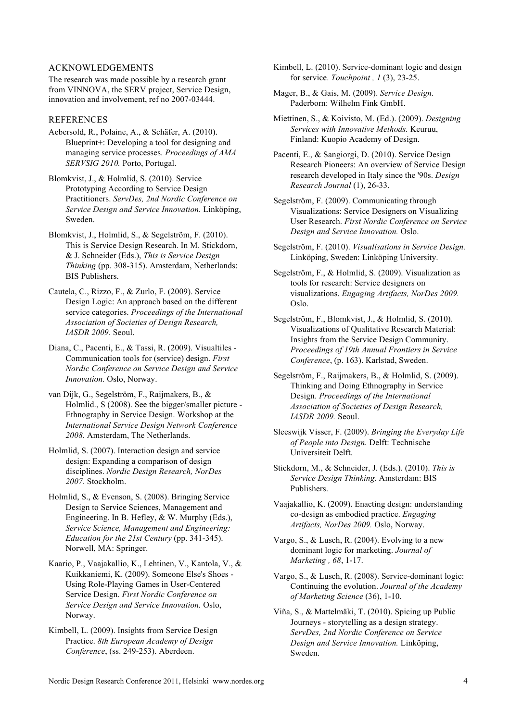#### ACKNOWLEDGEMENTS

The research was made possible by a research grant from VINNOVA, the SERV project, Service Design, innovation and involvement, ref no 2007-03444.

# **REFERENCES**

- Aebersold, R., Polaine, A., & Schäfer, A. (2010). Blueprint+: Developing a tool for designing and managing service processes. *Proceedings of AMA SERVSIG 2010.* Porto, Portugal.
- Blomkvist, J., & Holmlid, S. (2010). Service Prototyping According to Service Design Practitioners. *ServDes, 2nd Nordic Conference on Service Design and Service Innovation.* Linköping, Sweden.
- Blomkvist, J., Holmlid, S., & Segelström, F. (2010). This is Service Design Research. In M. Stickdorn, & J. Schneider (Eds.), *This is Service Design Thinking* (pp. 308-315). Amsterdam, Netherlands: BIS Publishers.
- Cautela, C., Rizzo, F., & Zurlo, F. (2009). Service Design Logic: An approach based on the different service categories. *Proceedings of the International Association of Societies of Design Research, IASDR 2009.* Seoul.
- Diana, C., Pacenti, E., & Tassi, R. (2009). Visualtiles Communication tools for (service) design. *First Nordic Conference on Service Design and Service Innovation.* Oslo, Norway.
- van Dijk, G., Segelström, F., Raijmakers, B., & Holmlid., S (2008). See the bigger/smaller picture - Ethnography in Service Design. Workshop at the *International Service Design Network Conference 2008*. Amsterdam, The Netherlands.
- Holmlid, S. (2007). Interaction design and service design: Expanding a comparison of design disciplines. *Nordic Design Research, NorDes 2007.* Stockholm.
- Holmlid, S., & Evenson, S. (2008). Bringing Service Design to Service Sciences, Management and Engineering. In B. Hefley, & W. Murphy (Eds.), *Service Science, Management and Engineering: Education for the 21st Century* (pp. 341-345). Norwell, MA: Springer.
- Kaario, P., Vaajakallio, K., Lehtinen, V., Kantola, V., & Kuikkaniemi, K. (2009). Someone Else's Shoes - Using Role-Playing Games in User-Centered Service Design. *First Nordic Conference on Service Design and Service Innovation.* Oslo, Norway.

Kimbell, L. (2009). Insights from Service Design Practice. *8th European Academy of Design Conference*, (ss. 249-253). Aberdeen.

- Kimbell, L. (2010). Service-dominant logic and design for service. *Touchpoint , 1* (3), 23-25.
- Mager, B., & Gais, M. (2009). *Service Design.* Paderborn: Wilhelm Fink GmbH.
- Miettinen, S., & Koivisto, M. (Ed.). (2009). *Designing Services with Innovative Methods.* Keuruu, Finland: Kuopio Academy of Design.
- Pacenti, E., & Sangiorgi, D. (2010). Service Design Research Pioneers: An overview of Service Design research developed in Italy since the '90s. *Design Research Journal* (1), 26-33.
- Segelström, F. (2009). Communicating through Visualizations: Service Designers on Visualizing User Research. *First Nordic Conference on Service Design and Service Innovation.* Oslo.
- Segelström, F. (2010). *Visualisations in Service Design.* Linköping, Sweden: Linköping University.
- Segelström, F., & Holmlid, S. (2009). Visualization as tools for research: Service designers on visualizations. *Engaging Artifacts, NorDes 2009.* Oslo.
- Segelström, F., Blomkvist, J., & Holmlid, S. (2010). Visualizations of Qualitative Research Material: Insights from the Service Design Community. *Proceedings of 19th Annual Frontiers in Service Conference*, (p. 163). Karlstad, Sweden.
- Segelström, F., Raijmakers, B., & Holmlid, S. (2009). Thinking and Doing Ethnography in Service Design. *Proceedings of the International Association of Societies of Design Research, IASDR 2009.* Seoul.
- Sleeswijk Visser, F. (2009). *Bringing the Everyday Life of People into Design.* Delft: Technische Universiteit Delft.
- Stickdorn, M., & Schneider, J. (Eds.). (2010). *This is Service Design Thinking.* Amsterdam: BIS Publishers.
- Vaajakallio, K. (2009). Enacting design: understanding co-design as embodied practice. *Engaging Artifacts, NorDes 2009.* Oslo, Norway.
- Vargo, S., & Lusch, R. (2004). Evolving to a new dominant logic for marketing. *Journal of Marketing , 68*, 1-17.
- Vargo, S., & Lusch, R. (2008). Service-dominant logic: Continuing the evolution. *Journal of the Academy of Marketing Science* (36), 1-10.
- Viña, S., & Mattelmäki, T. (2010). Spicing up Public Journeys - storytelling as a design strategy. *ServDes, 2nd Nordic Conference on Service Design and Service Innovation.* Linköping, Sweden.